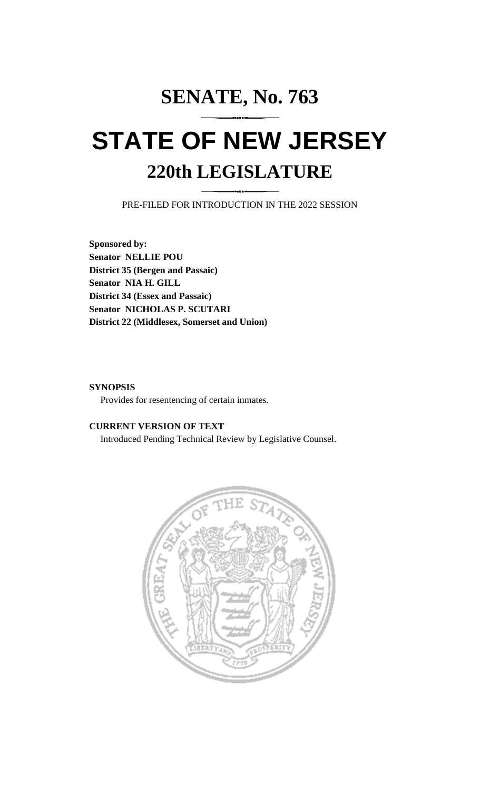# **SENATE, No. 763 STATE OF NEW JERSEY 220th LEGISLATURE**

PRE-FILED FOR INTRODUCTION IN THE 2022 SESSION

**Sponsored by: Senator NELLIE POU District 35 (Bergen and Passaic) Senator NIA H. GILL District 34 (Essex and Passaic) Senator NICHOLAS P. SCUTARI District 22 (Middlesex, Somerset and Union)**

### **SYNOPSIS**

Provides for resentencing of certain inmates.

# **CURRENT VERSION OF TEXT**

Introduced Pending Technical Review by Legislative Counsel.

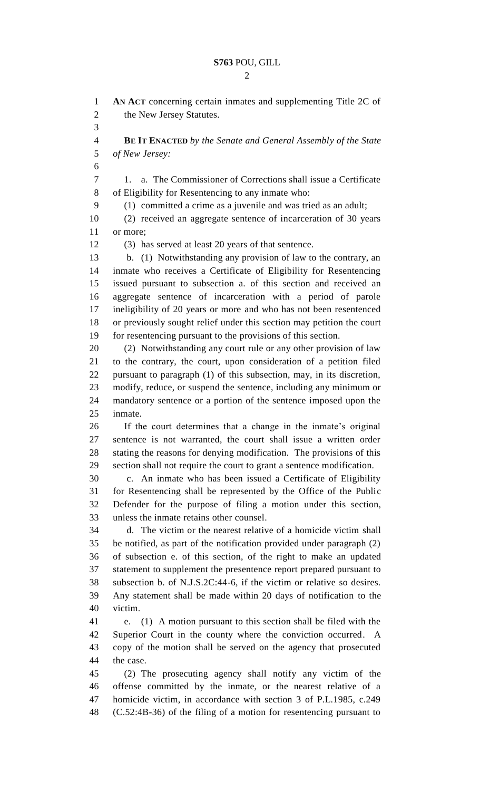**AN ACT** concerning certain inmates and supplementing Title 2C of 2 the New Jersey Statutes. **BE IT ENACTED** *by the Senate and General Assembly of the State of New Jersey:* 1. a. The Commissioner of Corrections shall issue a Certificate of Eligibility for Resentencing to any inmate who: (1) committed a crime as a juvenile and was tried as an adult; (2) received an aggregate sentence of incarceration of 30 years or more; (3) has served at least 20 years of that sentence. b. (1) Notwithstanding any provision of law to the contrary, an inmate who receives a Certificate of Eligibility for Resentencing issued pursuant to subsection a. of this section and received an aggregate sentence of incarceration with a period of parole ineligibility of 20 years or more and who has not been resentenced or previously sought relief under this section may petition the court for resentencing pursuant to the provisions of this section. (2) Notwithstanding any court rule or any other provision of law to the contrary, the court, upon consideration of a petition filed pursuant to paragraph (1) of this subsection, may, in its discretion, modify, reduce, or suspend the sentence, including any minimum or mandatory sentence or a portion of the sentence imposed upon the inmate. If the court determines that a change in the inmate's original sentence is not warranted, the court shall issue a written order stating the reasons for denying modification. The provisions of this section shall not require the court to grant a sentence modification. c. An inmate who has been issued a Certificate of Eligibility for Resentencing shall be represented by the Office of the Public Defender for the purpose of filing a motion under this section, unless the inmate retains other counsel. d. The victim or the nearest relative of a homicide victim shall be notified, as part of the notification provided under paragraph (2) of subsection e. of this section, of the right to make an updated statement to supplement the presentence report prepared pursuant to subsection b. of N.J.S.2C:44-6, if the victim or relative so desires. Any statement shall be made within 20 days of notification to the victim. e. (1) A motion pursuant to this section shall be filed with the Superior Court in the county where the conviction occurred. A copy of the motion shall be served on the agency that prosecuted the case. (2) The prosecuting agency shall notify any victim of the offense committed by the inmate, or the nearest relative of a homicide victim, in accordance with section 3 of P.L.1985, c.249 (C.52:4B-36) of the filing of a motion for resentencing pursuant to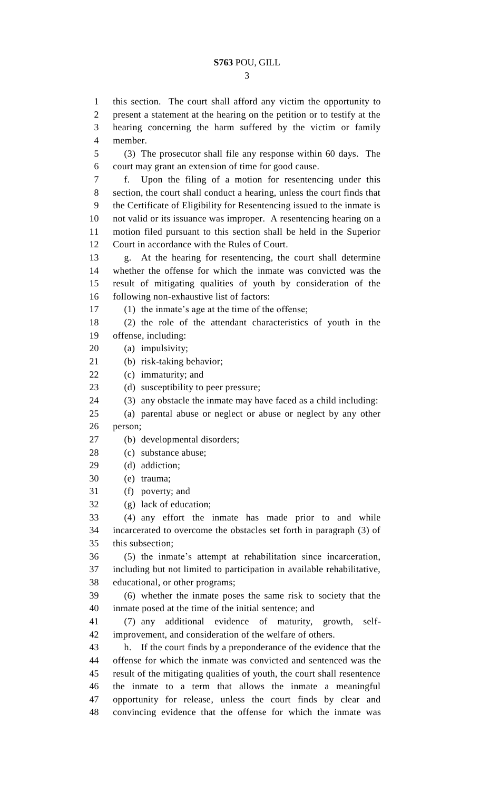this section. The court shall afford any victim the opportunity to present a statement at the hearing on the petition or to testify at the hearing concerning the harm suffered by the victim or family

member.

 (3) The prosecutor shall file any response within 60 days. The court may grant an extension of time for good cause. f. Upon the filing of a motion for resentencing under this section, the court shall conduct a hearing, unless the court finds that the Certificate of Eligibility for Resentencing issued to the inmate is not valid or its issuance was improper. A resentencing hearing on a motion filed pursuant to this section shall be held in the Superior Court in accordance with the Rules of Court. g. At the hearing for resentencing, the court shall determine whether the offense for which the inmate was convicted was the result of mitigating qualities of youth by consideration of the following non-exhaustive list of factors: (1) the inmate's age at the time of the offense; (2) the role of the attendant characteristics of youth in the offense, including: (a) impulsivity; (b) risk-taking behavior; (c) immaturity; and 23 (d) susceptibility to peer pressure; (3) any obstacle the inmate may have faced as a child including: (a) parental abuse or neglect or abuse or neglect by any other person; (b) developmental disorders; (c) substance abuse; (d) addiction; (e) trauma; (f) poverty; and (g) lack of education; (4) any effort the inmate has made prior to and while incarcerated to overcome the obstacles set forth in paragraph (3) of this subsection; (5) the inmate's attempt at rehabilitation since incarceration, including but not limited to participation in available rehabilitative, educational, or other programs; (6) whether the inmate poses the same risk to society that the inmate posed at the time of the initial sentence; and (7) any additional evidence of maturity, growth, self- improvement, and consideration of the welfare of others. h. If the court finds by a preponderance of the evidence that the offense for which the inmate was convicted and sentenced was the result of the mitigating qualities of youth, the court shall resentence the inmate to a term that allows the inmate a meaningful opportunity for release, unless the court finds by clear and convincing evidence that the offense for which the inmate was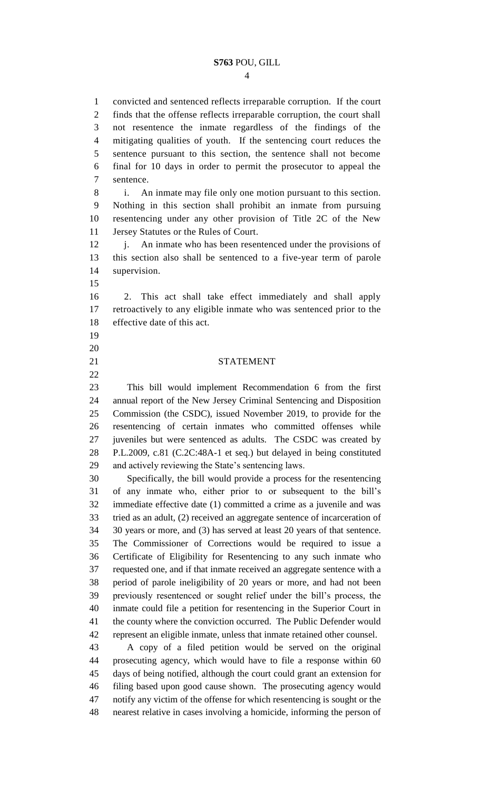convicted and sentenced reflects irreparable corruption. If the court finds that the offense reflects irreparable corruption, the court shall not resentence the inmate regardless of the findings of the mitigating qualities of youth. If the sentencing court reduces the sentence pursuant to this section, the sentence shall not become final for 10 days in order to permit the prosecutor to appeal the sentence.

 i. An inmate may file only one motion pursuant to this section. Nothing in this section shall prohibit an inmate from pursuing resentencing under any other provision of Title 2C of the New Jersey Statutes or the Rules of Court.

12 j. An inmate who has been resentenced under the provisions of this section also shall be sentenced to a five-year term of parole supervision.

 2. This act shall take effect immediately and shall apply retroactively to any eligible inmate who was sentenced prior to the effective date of this act.

 

#### STATEMENT

 This bill would implement Recommendation 6 from the first annual report of the New Jersey Criminal Sentencing and Disposition Commission (the CSDC), issued November 2019, to provide for the resentencing of certain inmates who committed offenses while juveniles but were sentenced as adults. The CSDC was created by P.L.2009, c.81 (C.2C:48A-1 et seq.) but delayed in being constituted and actively reviewing the State's sentencing laws.

 Specifically, the bill would provide a process for the resentencing of any inmate who, either prior to or subsequent to the bill's immediate effective date (1) committed a crime as a juvenile and was tried as an adult, (2) received an aggregate sentence of incarceration of 30 years or more, and (3) has served at least 20 years of that sentence. The Commissioner of Corrections would be required to issue a Certificate of Eligibility for Resentencing to any such inmate who requested one, and if that inmate received an aggregate sentence with a period of parole ineligibility of 20 years or more, and had not been previously resentenced or sought relief under the bill's process, the inmate could file a petition for resentencing in the Superior Court in the county where the conviction occurred. The Public Defender would represent an eligible inmate, unless that inmate retained other counsel.

 A copy of a filed petition would be served on the original prosecuting agency, which would have to file a response within 60 days of being notified, although the court could grant an extension for filing based upon good cause shown. The prosecuting agency would notify any victim of the offense for which resentencing is sought or the nearest relative in cases involving a homicide, informing the person of